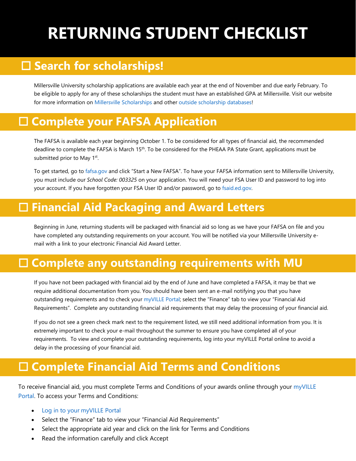# **RETURNING STUDENT CHECKLIST**

# **Search for scholarships!**

Millersville University scholarship applications are available each year at the end of November and due early February. To be eligible to apply for any of these scholarships the student must have an established GPA at Millersville. Visit our website for more information o[n Millersville Scholarships](http://www.millersville.edu/finaid/grantsscholarship/mu_scholarships.phpv) and othe[r outside scholarship databases!](http://www.millersville.edu/finaid/grantsscholarship/scholarship_search_databases.php)

### **Complete your FAFSA Application**

The FAFSA is available each year beginning October 1. To be considered for all types of financial aid, the recommended deadline to complete the FAFSA is March 15<sup>th</sup>. To be considered for the PHEAA PA State Grant, applications must be submitted prior to May 1<sup>st</sup>.

To get started, go to [fafsa.gov](https://studentaid.gov/h/apply-for-aid/fafsa/) and click "Start a New FAFSA". To have your FAFSA information sent to Millersville University, you must include our *School Code: 003325* on your application. You will need your FSA User ID and password to log into your account. If you have forgotten your FSA User ID and/or password, go to [fsaid.ed.gov.](https://studentaid.gov/fsa-id/sign-in/landing) 

### **Financial Aid Packaging and Award Letters**

Beginning in June, returning students will be packaged with financial aid so long as we have your FAFSA on file and you have completed any outstanding requirements on your account. You will be notified via your Millersville University email with a link to your electronic Financial Aid Award Letter.

### **Complete any outstanding requirements with MU**

If you have not been packaged with financial aid by the end of June and have completed a FAFSA, it may be that we require additional documentation from you. You should have been sent an e-mail notifying you that you have outstanding requirements and to check your [myVILLE Portal;](https://ecas.millersville.edu/cas/login?service=https%3A%2F%2Fmy5.millersville.edu%2Fc%2Fportal%2Flogin) select the "Finance" tab to view your "Financial Aid Requirements". Complete any outstanding financial aid requirements that may delay the processing of your financial aid.

If you do not see a green check mark next to the requirement listed, we still need additional information from you. It is extremely important to check your e-mail throughout the summer to ensure you have completed all of your requirements. To view and complete your outstanding requirements, log into your myVILLE Portal online to avoid a delay in the processing of your financial aid.

# **Complete Financial Aid Terms and Conditions**

To receive financial aid, you must complete Terms and Conditions of your awards online through your [myVILLE](https://www.millersville.edu/logins/)  [Portal.](https://www.millersville.edu/logins/) To access your Terms and Conditions:

- Log in to your [myVILLE Portal](https://millersville.edu/logins/)
- Select the "Finance" tab to view your "Financial Aid Requirements"
- Select the appropriate aid year and click on the link for Terms and Conditions
- Read the information carefully and click Accept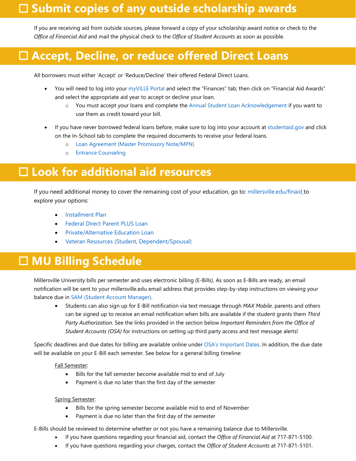### **Submit copies of any outside scholarship awards**

If you are receiving aid from outside sources, please forward a copy of your scholarship award notice or check to the *Office of Financial Aid* and mail the physical check to the *Office of Student Accounts* as soon as possible.

# **Accept, Decline, or reduce offered Direct Loans**

All borrowers must either 'Accept' or 'Reduce/Decline' their offered Federal Direct Loans.

- You will need to log into your [myVILLE Portal](https://ecas.millersville.edu/cas/login?service=https%3A%2F%2Fmy5.millersville.edu%2Fc%2Fportal%2Flogin) and select the "Finances" tab; then click on "Financial Aid Awards" and select the appropriate aid year to accept or decline your loan.
	- o You must accept your loans and complete the [Annual Student Loan Acknowledgement](https://studentaid.gov/asla/) if you want to use them as credit toward your bill.
- If you have never borrowed federal loans before, make sure to log into your account at [studentaid.gov](https://studentaid.gov/) and click on the In-School tab to complete the required documents to receive your federal loans.
	- o [Loan Agreement \(Master Promissory Note/MPN\)](https://studentaid.gov/mpn/)
	- o [Entrance Counseling](https://studentaid.gov/entrance-counseling/)

### **Look for additional aid resources**

If you need additional money to cover the remaining cost of your education, go to: [millersville.edu/finaid](http://www.millersville.edu/finaid) to explore your options:

- [Installment Plan](http://www.millersville.edu/osa/installmentplan.php)
- [Federal Direct Parent PLUS Loan](http://www.millersville.edu/finaid/loans/plus.php)
- [Private/Alternative Education Loan](http://www.millersville.edu/finaid/loans/alternative.php)
- [Veteran Resources \(Student, Dependent/Spousal\)](https://www.millersville.edu/finaid/studentinfo/veteran.php)

### **MU Billing Schedule**

Millersville University bills per semester and uses electronic billing (E-Bills). As soon as E-Bills are ready, an email notification will be sent to your millersville.edu email address that provides step-by-step instructions on viewing your balance due in [SAM \(Student Account Manager\).](https://www.millersville.edu/osa/student-account-manager.php)

• Students can also sign up for E-Bill notification via text message through *MAX Mobile*. parents and others can be signed up to receive an email notification when bills are available if the student grants them *Third Party Authorization*. See the links provided in the section below *Important Reminders from the Office of Student Accounts (OSA)* for instructions on setting up third party access and text message alerts!

Specific deadlines and due dates for billing are available online under [OSA's Important Dates.](https://www.millersville.edu/osa/important-dates.php) In addition, the due date will be available on your E-Bill each semester. See below for a general billing timeline:

#### Fall Semester:

- Bills for the fall semester become available mid to end of July
- Payment is due no later than the first day of the semester

#### Spring Semester:

- Bills for the spring semester become available mid to end of November
- Payment is due no later than the first day of the semester

E-Bills should be reviewed to determine whether or not you have a remaining balance due to Millersville.

- If you have questions regarding your financial aid, contact the *Office of Financial Aid* at 717-871-5100.
- If you have questions regarding your charges, contact the *Office of Student Accounts* at 717-871-5101.